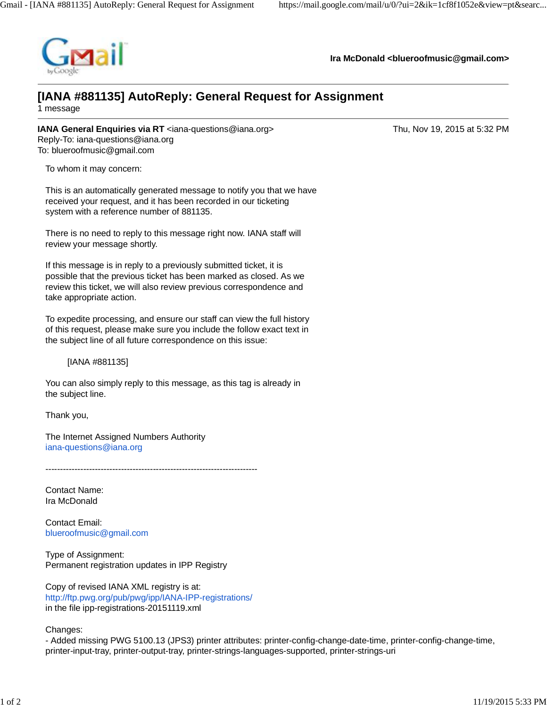

**Ira McDonald [<blueroofmusic@gmail.com](mailto:blueroofmusic@gmail.com)>**

## **[IANA #881135] AutoReply: General Request for Assignment**

1 message

**IANA General Enquiries via RT** [<iana-questions@iana.org>](mailto:iana-questions@iana.org) Thu, Nov 19, 2015 at 5:32 PM Reply-To: [iana-questions@iana.org](mailto:iana-questions@iana.org) To: [blueroofmusic@gmail.com](mailto:blueroofmusic@gmail.com)

To whom it may concern:

This is an automatically generated message to notify you that we have received your request, and it has been recorded in our ticketing system with a reference number of 881135.

There is no need to reply to this message right now. IANA staff will review your message shortly.

If this message is in reply to a previously submitted ticket, it is possible that the previous ticket has been marked as closed. As we review this ticket, we will also review previous correspondence and take appropriate action.

To expedite processing, and ensure our staff can view the full history of this request, please make sure you include the follow exact text in the subject line of all future correspondence on this issue:

[IANA #881135]

You can also simply reply to this message, as this tag is already in the subject line.

Thank you,

The Internet Assigned Numbers Authority [iana-questions@iana.org](mailto:iana-questions@iana.org)

-------------------------------------------------------------------------

Contact Name: Ira McDonald

Contact Email: [blueroofmusic@gmail.com](mailto:blueroofmusic@gmail.com)

Type of Assignment: Permanent registration updates in IPP Registry

Copy of revised IANA XML registry is at: <http://ftp.pwg.org/pub/pwg/ipp/IANA-IPP-registrations/> in the file ipp-registrations-20151119.xml

Changes:

- Added missing PWG 5100.13 (JPS3) printer attributes: printer-config-change-date-time, printer-config-change-time, printer-input-tray, printer-output-tray, printer-strings-languages-supported, printer-strings-uri